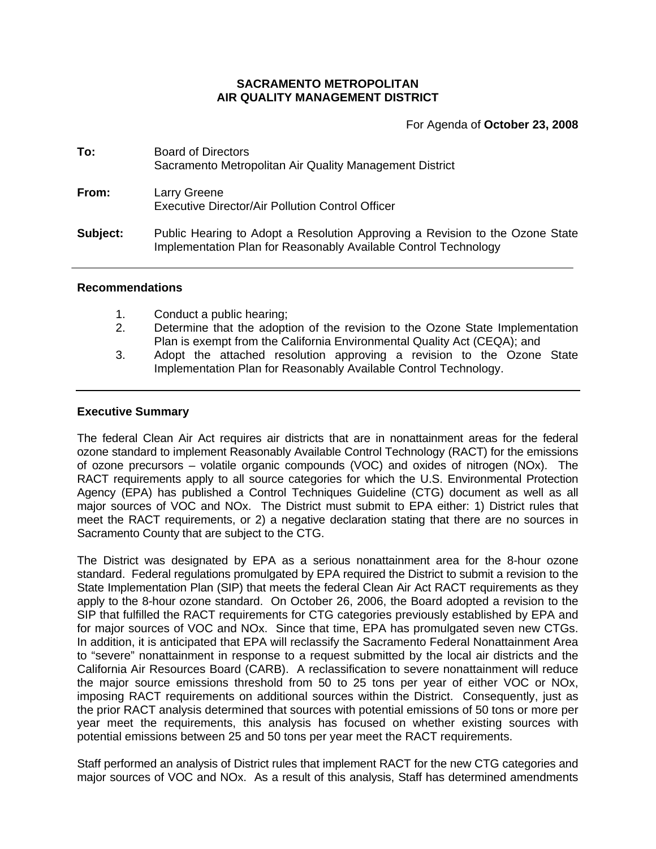## **SACRAMENTO METROPOLITAN AIR QUALITY MANAGEMENT DISTRICT**

For Agenda of **October 23, 2008**

| To:      | <b>Board of Directors</b><br>Sacramento Metropolitan Air Quality Management District                                                            |
|----------|-------------------------------------------------------------------------------------------------------------------------------------------------|
| From:    | Larry Greene<br>Executive Director/Air Pollution Control Officer                                                                                |
| Subject: | Public Hearing to Adopt a Resolution Approving a Revision to the Ozone State<br>Implementation Plan for Reasonably Available Control Technology |

#### **Recommendations**

- 1. Conduct a public hearing;
- 2. Determine that the adoption of the revision to the Ozone State Implementation Plan is exempt from the California Environmental Quality Act (CEQA); and
- 3. Adopt the attached resolution approving a revision to the Ozone State Implementation Plan for Reasonably Available Control Technology.

### **Executive Summary**

The federal Clean Air Act requires air districts that are in nonattainment areas for the federal ozone standard to implement Reasonably Available Control Technology (RACT) for the emissions of ozone precursors – volatile organic compounds (VOC) and oxides of nitrogen (NOx). The RACT requirements apply to all source categories for which the U.S. Environmental Protection Agency (EPA) has published a Control Techniques Guideline (CTG) document as well as all major sources of VOC and NOx. The District must submit to EPA either: 1) District rules that meet the RACT requirements, or 2) a negative declaration stating that there are no sources in Sacramento County that are subject to the CTG.

The District was designated by EPA as a serious nonattainment area for the 8-hour ozone standard. Federal regulations promulgated by EPA required the District to submit a revision to the State Implementation Plan (SIP) that meets the federal Clean Air Act RACT requirements as they apply to the 8-hour ozone standard. On October 26, 2006, the Board adopted a revision to the SIP that fulfilled the RACT requirements for CTG categories previously established by EPA and for major sources of VOC and NOx. Since that time, EPA has promulgated seven new CTGs. In addition, it is anticipated that EPA will reclassify the Sacramento Federal Nonattainment Area to "severe" nonattainment in response to a request submitted by the local air districts and the California Air Resources Board (CARB). A reclassification to severe nonattainment will reduce the major source emissions threshold from 50 to 25 tons per year of either VOC or NOx, imposing RACT requirements on additional sources within the District. Consequently, just as the prior RACT analysis determined that sources with potential emissions of 50 tons or more per year meet the requirements, this analysis has focused on whether existing sources with potential emissions between 25 and 50 tons per year meet the RACT requirements.

Staff performed an analysis of District rules that implement RACT for the new CTG categories and major sources of VOC and NOx. As a result of this analysis, Staff has determined amendments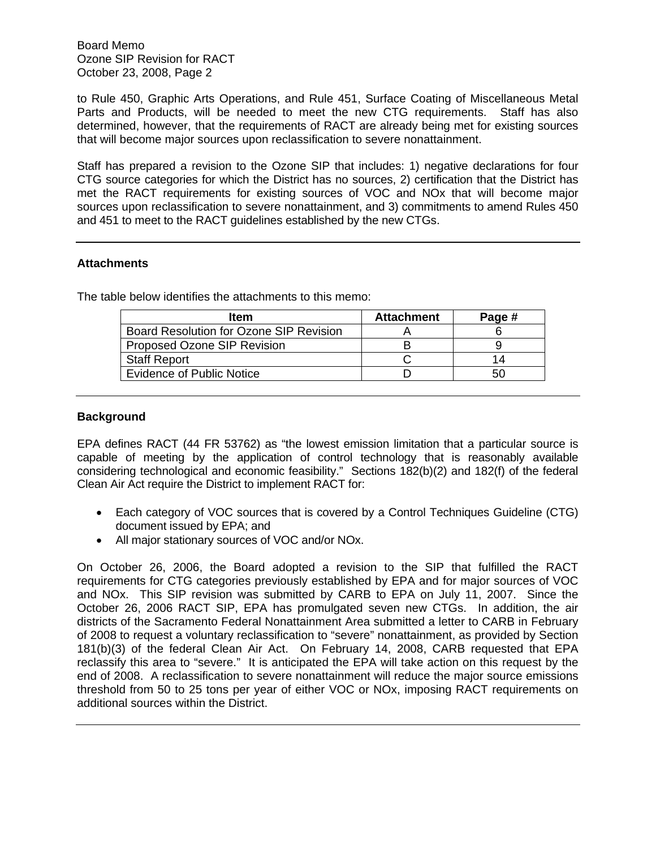Board Memo Ozone SIP Revision for RACT October 23, 2008, Page 2

to Rule 450, Graphic Arts Operations, and Rule 451, Surface Coating of Miscellaneous Metal Parts and Products, will be needed to meet the new CTG requirements. Staff has also determined, however, that the requirements of RACT are already being met for existing sources that will become major sources upon reclassification to severe nonattainment.

Staff has prepared a revision to the Ozone SIP that includes: 1) negative declarations for four CTG source categories for which the District has no sources, 2) certification that the District has met the RACT requirements for existing sources of VOC and NOx that will become major sources upon reclassification to severe nonattainment, and 3) commitments to amend Rules 450 and 451 to meet to the RACT guidelines established by the new CTGs.

# **Attachments**

The table below identifies the attachments to this memo:

| Page # |
|--------|
|        |
|        |
| 14     |
| 50     |
|        |

### **Background**

EPA defines RACT (44 FR 53762) as "the lowest emission limitation that a particular source is capable of meeting by the application of control technology that is reasonably available considering technological and economic feasibility." Sections 182(b)(2) and 182(f) of the federal Clean Air Act require the District to implement RACT for:

- Each category of VOC sources that is covered by a Control Techniques Guideline (CTG) document issued by EPA; and
- All major stationary sources of VOC and/or NOx.

On October 26, 2006, the Board adopted a revision to the SIP that fulfilled the RACT requirements for CTG categories previously established by EPA and for major sources of VOC and NOx. This SIP revision was submitted by CARB to EPA on July 11, 2007. Since the October 26, 2006 RACT SIP, EPA has promulgated seven new CTGs. In addition, the air districts of the Sacramento Federal Nonattainment Area submitted a letter to CARB in February of 2008 to request a voluntary reclassification to "severe" nonattainment, as provided by Section 181(b)(3) of the federal Clean Air Act. On February 14, 2008, CARB requested that EPA reclassify this area to "severe." It is anticipated the EPA will take action on this request by the end of 2008. A reclassification to severe nonattainment will reduce the major source emissions threshold from 50 to 25 tons per year of either VOC or NOx, imposing RACT requirements on additional sources within the District.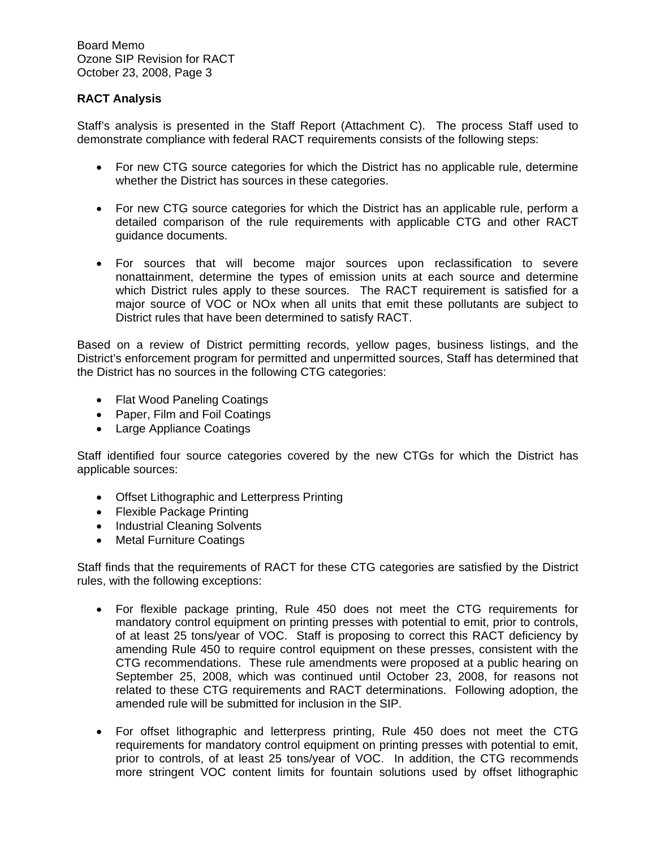Board Memo Ozone SIP Revision for RACT October 23, 2008, Page 3

# **RACT Analysis**

Staff's analysis is presented in the Staff Report (Attachment C). The process Staff used to demonstrate compliance with federal RACT requirements consists of the following steps:

- For new CTG source categories for which the District has no applicable rule, determine whether the District has sources in these categories.
- For new CTG source categories for which the District has an applicable rule, perform a detailed comparison of the rule requirements with applicable CTG and other RACT guidance documents.
- For sources that will become major sources upon reclassification to severe nonattainment, determine the types of emission units at each source and determine which District rules apply to these sources. The RACT requirement is satisfied for a major source of VOC or NOx when all units that emit these pollutants are subject to District rules that have been determined to satisfy RACT.

Based on a review of District permitting records, yellow pages, business listings, and the District's enforcement program for permitted and unpermitted sources, Staff has determined that the District has no sources in the following CTG categories:

- Flat Wood Paneling Coatings
- Paper, Film and Foil Coatings
- Large Appliance Coatings

Staff identified four source categories covered by the new CTGs for which the District has applicable sources:

- Offset Lithographic and Letterpress Printing
- Flexible Package Printing
- Industrial Cleaning Solvents
- Metal Furniture Coatings

Staff finds that the requirements of RACT for these CTG categories are satisfied by the District rules, with the following exceptions:

- For flexible package printing, Rule 450 does not meet the CTG requirements for mandatory control equipment on printing presses with potential to emit, prior to controls, of at least 25 tons/year of VOC. Staff is proposing to correct this RACT deficiency by amending Rule 450 to require control equipment on these presses, consistent with the CTG recommendations. These rule amendments were proposed at a public hearing on September 25, 2008, which was continued until October 23, 2008, for reasons not related to these CTG requirements and RACT determinations. Following adoption, the amended rule will be submitted for inclusion in the SIP.
- For offset lithographic and letterpress printing, Rule 450 does not meet the CTG requirements for mandatory control equipment on printing presses with potential to emit, prior to controls, of at least 25 tons/year of VOC. In addition, the CTG recommends more stringent VOC content limits for fountain solutions used by offset lithographic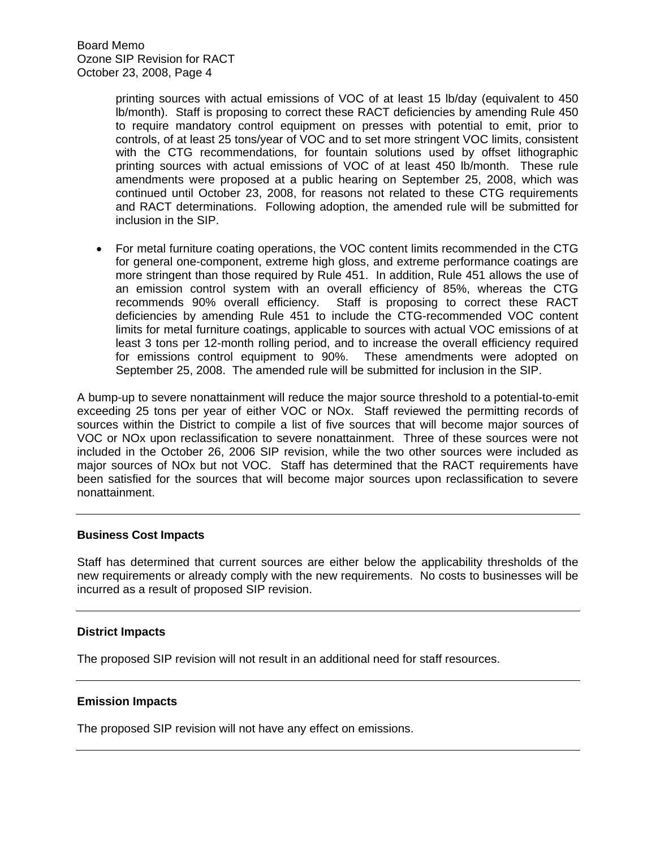printing sources with actual emissions of VOC of at least 15 lb/day (equivalent to 450 lb/month). Staff is proposing to correct these RACT deficiencies by amending Rule 450 to require mandatory control equipment on presses with potential to emit, prior to controls, of at least 25 tons/year of VOC and to set more stringent VOC limits, consistent with the CTG recommendations, for fountain solutions used by offset lithographic printing sources with actual emissions of VOC of at least 450 lb/month. These rule amendments were proposed at a public hearing on September 25, 2008, which was continued until October 23, 2008, for reasons not related to these CTG requirements and RACT determinations. Following adoption, the amended rule will be submitted for inclusion in the SIP.

• For metal furniture coating operations, the VOC content limits recommended in the CTG for general one-component, extreme high gloss, and extreme performance coatings are more stringent than those required by Rule 451. In addition, Rule 451 allows the use of an emission control system with an overall efficiency of 85%, whereas the CTG recommends 90% overall efficiency. Staff is proposing to correct these RACT deficiencies by amending Rule 451 to include the CTG-recommended VOC content limits for metal furniture coatings, applicable to sources with actual VOC emissions of at least 3 tons per 12-month rolling period, and to increase the overall efficiency required for emissions control equipment to 90%. These amendments were adopted on September 25, 2008. The amended rule will be submitted for inclusion in the SIP.

A bump-up to severe nonattainment will reduce the major source threshold to a potential-to-emit exceeding 25 tons per year of either VOC or NOx. Staff reviewed the permitting records of sources within the District to compile a list of five sources that will become major sources of VOC or NOx upon reclassification to severe nonattainment. Three of these sources were not included in the October 26, 2006 SIP revision, while the two other sources were included as major sources of NOx but not VOC. Staff has determined that the RACT requirements have been satisfied for the sources that will become major sources upon reclassification to severe nonattainment.

### **Business Cost Impacts**

Staff has determined that current sources are either below the applicability thresholds of the new requirements or already comply with the new requirements. No costs to businesses will be incurred as a result of proposed SIP revision.

### **District Impacts**

The proposed SIP revision will not result in an additional need for staff resources.

### **Emission Impacts**

The proposed SIP revision will not have any effect on emissions.